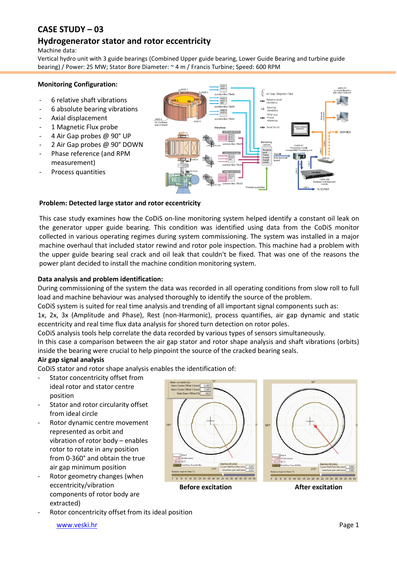# **CASE STUDY – 03**

## **Hydrogenerator stator and rotor eccentricity**

Machine data:

Vertical hydro unit with 3 guide bearings (Combined Upper guide bearing, Lower Guide Bearing and turbine guide bearing) / Power: 25 MW; Stator Bore Diameter: ~ 4 m / Francis Turbine; Speed: 600 RPM

#### **Monitoring Configuration:**

- 6 relative shaft vibrations
- 6 absolute bearing vibrations
- Axial displacement
- 1 Magnetic Flux probe
- 4 Air Gap probes @ 90° UP
- 2 Air Gap probes @ 90° DOWN
- Phase reference (and RPM measurement)
- Process quantities



#### **Problem: Detected large stator and rotor eccentricity**

This case study examines how the CoDiS on-line monitoring system helped identify a constant oil leak on the generator upper guide bearing. This condition was identified using data from the CoDiS monitor collected in various operating regimes during system commissioning. The system was installed in a major machine overhaul that included stator rewind and rotor pole inspection. This machine had a problem with the upper guide bearing seal crack and oil leak that couldn't be fixed. That was one of the reasons the power plant decided to install the machine condition monitoring system.

#### **Data analysis and problem identification:**

During commissioning of the system the data was recorded in all operating conditions from slow roll to full load and machine behaviour was analysed thoroughly to identify the source of the problem.

CoDiS system is suited for real time analysis and trending of all important signal components such as:

1x, 2x, 3x (Amplitude and Phase), Rest (non-Harmonic), process quantifies, air gap dynamic and static eccentricity and real time flux data analysis for shored turn detection on rotor poles.

CoDiS analysis tools help correlate the data recorded by various types of sensors simultaneously.

In this case a comparison between the air gap stator and rotor shape analysis and shaft vibrations (orbits) inside the bearing were crucial to help pinpoint the source of the cracked bearing seals.

### **Air gap signal analysis**

CoDiS stator and rotor shape analysis enables the identification of:

- Stator concentricity offset from ideal rotor and stator centre position
- Stator and rotor circularity offset from ideal circle
- Rotor dynamic centre movement represented as orbit and vibration of rotor body – enables rotor to rotate in any position from 0-360° and obtain the true air gap minimum position
- Rotor geometry changes (when eccentricity/vibration components of rotor body are extracted)







**Before excitation After excitation** 

[www.veski.hr](http://www.veski.hr/) Page 1